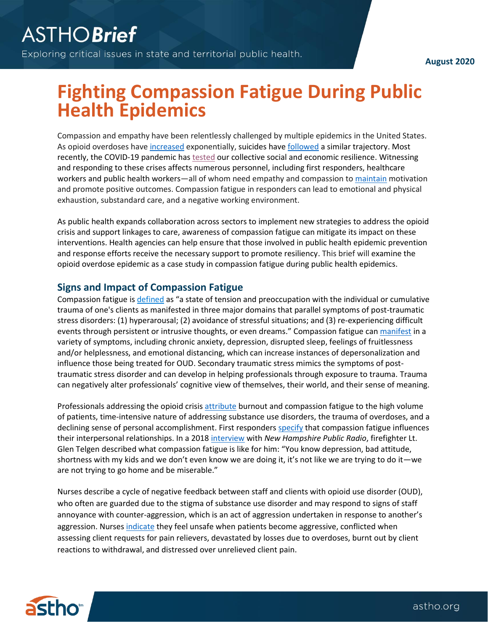**August 2020**

## **Fighting Compassion Fatigue During Public Health Epidemics**

Compassion and empathy have been relentlessly challenged by multiple epidemics in the United States. As opioid overdoses have [increased](https://www.cdc.gov/drugoverdose/epidemic/index.html) exponentially, suicides have [followed](https://www.cdc.gov/nchs/products/databriefs/db362.htm?deliveryName=USCDC_171-DM25492) a similar trajectory. Most recently, the COVID-19 pandemic has [tested](https://jamanetwork.com/journals/jama/fullarticle/2764380) our collective social and economic resilience. Witnessing and responding to these crises affects numerous personnel, including first responders, healthcare workers and public health workers—all of whom need empathy and compassion to [maintain](https://www.ncbi.nlm.nih.gov/pmc/articles/PMC4294163/) motivation and promote positive outcomes. Compassion fatigue in responders can lead to emotional and physical exhaustion, substandard care, and a negative working environment.

As public health expands collaboration across sectors to implement new strategies to address the opioid crisis and support linkages to care, awareness of compassion fatigue can mitigate its impact on these interventions. Health agencies can help ensure that those involved in public health epidemic prevention and response efforts receive the necessary support to promote resiliency. This brief will examine the opioid overdose epidemic as a case study in compassion fatigue during public health epidemics.

## **Signs and Impact of Compassion Fatigue**

Compassion fatigue is [defined](https://ascopubs.org/doi/full/10.14694/EdBook_AM.2014.34.e454#_i4) as "a state of tension and preoccupation with the individual or cumulative trauma of one's clients as manifested in three major domains that parallel symptoms of post-traumatic stress disorders: (1) hyperarousal; (2) avoidance of stressful situations; and (3) re-experiencing difficult events through persistent or intrusive thoughts, or even dreams." Compassion fatigue can [manifest](https://www.compassionfatigue.org/pages/symptoms.html) in a variety of symptoms, including chronic anxiety, depression, disrupted sleep, feelings of fruitlessness and/or helplessness, and emotional distancing, which can increase instances of depersonalization and influence those being treated for OUD. Secondary traumatic stress mimics the symptoms of posttraumatic stress disorder and can develop in helping professionals through exposure to trauma. Trauma can negatively alter professionals' cognitive view of themselves, their world, and their sense of meaning.

Professionals addressing the opioid crisis [attribute](http://www.ohtn.on.ca/wp-content/uploads/2019/11/RR142_Burnout_FINAL.pdf) burnout and compassion fatigue to the high volume of patients, time-intensive nature of addressing substance use disorders, the trauma of overdoses, and a declining sense of personal accomplishment. First responders [specify](https://www.compassionfatigue.org/organizations.html) that compassion fatigue influences their interpersonal relationships. In a 201[8 interview](https://www.nhpr.org/post/opioid-crisis-taking-toll-those-frontlines#stream/0) with *New Hampshire Public Radio*, firefighter Lt. Glen Telgen described what compassion fatigue is like for him: "You know depression, bad attitude, shortness with my kids and we don't even know we are doing it, it's not like we are trying to do it—we are not trying to go home and be miserable."

Nurses describe a cycle of negative feedback between staff and clients with opioid use disorder (OUD), who often are guarded due to the stigma of substance use disorder and may respond to signs of staff annoyance with counter-aggression, which is an act of aggression undertaken in response to another's aggression. Nurses [indicate](https://www.ncbi.nlm.nih.gov/pmc/articles/PMC6812769/) they feel unsafe when patients become aggressive, conflicted when assessing client requests for pain relievers, devastated by losses due to overdoses, burnt out by client reactions to withdrawal, and distressed over unrelieved client pain.